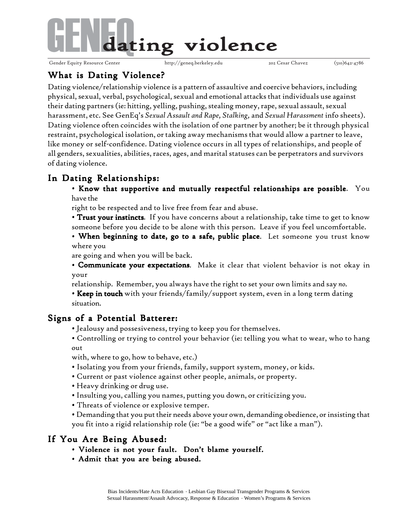

# What is Dating Violence?

Dating violence/relationship violence is a pattern of assaultive and coercive behaviors, including physical, sexual, verbal, psychological, sexual and emotional attacks that individuals use against their dating partners (ie: hitting, yelling, pushing, stealing money, rape, sexual assault, sexual harassment, etc. See GenEq's *Sexual Assault and Rape, Stalking,* and *Sexual Harassment* info sheets). Dating violence often coincides with the isolation of one partner by another; be it through physical restraint, psychological isolation, or taking away mechanisms that would allow a partner to leave, like money or self-confidence. Dating violence occurs in all types of relationships, and people of all genders, sexualities, abilities, races, ages, and marital statuses can be perpetrators and survivors of dating violence.

# In Dating Relationships:

• Know that supportive and mutually respectful relationships are possible. You have the

right to be respected and to live free from fear and abuse.

• Trust your instincts. If you have concerns about a relationship, take time to get to know someone before you decide to be alone with this person. Leave if you feel uncomfortable.

• When beginning to date, go to a safe, public place. Let someone you trust know where you

are going and when you will be back.

• Communicate your expectations. Make it clear that violent behavior is not okay in your

relationship. Remember, you always have the right to set your own limits and say *no.*

• Keep in touch with your friends/family/support system, even in a long term dating situation.

## Signs of a Potential Batterer:

• Jealousy and possesiveness, trying to keep you for themselves.

• Controlling or trying to control your behavior (ie: telling you what to wear, who to hang out

with, where to go, how to behave, etc.)

- Isolating you from your friends, family, support system, money, or kids.
- Current or past violence against other people, animals, or property.
- Heavy drinking or drug use.
- Insulting you, calling you names, putting you down, or criticizing you.
- Threats of violence or explosive temper.
- Demanding that you put their needs above your own, demanding obedience, or insisting that you fit into a rigid relationship role (ie: "be a good wife" or "act like a man").

### If You Are Being Abused:

- Violence is not your fault. Don't blame yourself.
- Admit that you are being abused.